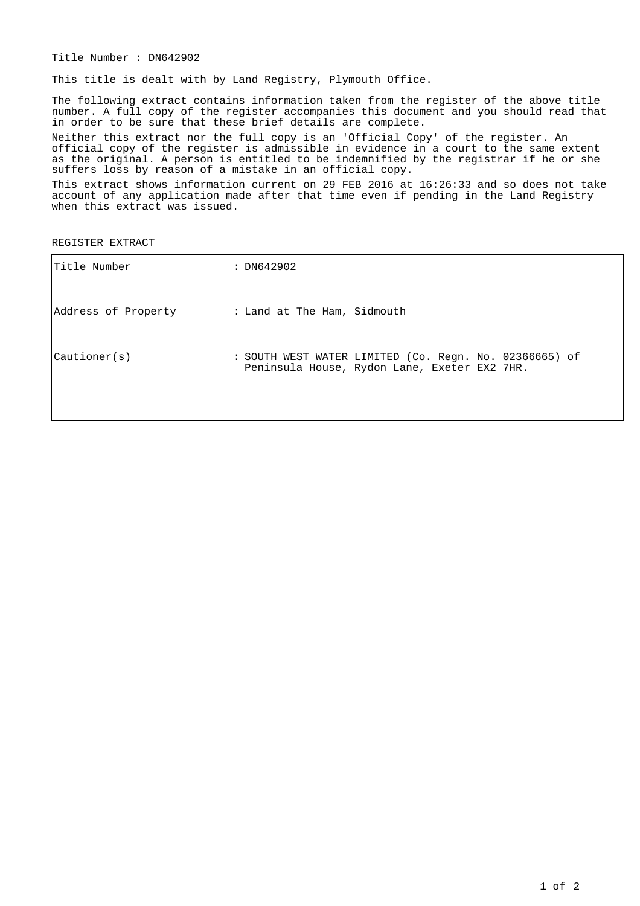Title Number : DN642902

This title is dealt with by Land Registry, Plymouth Office.

The following extract contains information taken from the register of the above title number. A full copy of the register accompanies this document and you should read that in order to be sure that these brief details are complete.

Neither this extract nor the full copy is an 'Official Copy' of the register. An official copy of the register is admissible in evidence in a court to the same extent as the original. A person is entitled to be indemnified by the registrar if he or she suffers loss by reason of a mistake in an official copy.

This extract shows information current on 29 FEB 2016 at 16:26:33 and so does not take account of any application made after that time even if pending in the Land Registry when this extract was issued.

REGISTER EXTRACT

| Title Number          | : DN642902                                                                                             |
|-----------------------|--------------------------------------------------------------------------------------------------------|
| Address of Property   | : Land at The Ham, Sidmouth                                                                            |
| $\text{Cautioner}(s)$ | : SOUTH WEST WATER LIMITED (Co. Regn. No. 02366665) of<br>Peninsula House, Rydon Lane, Exeter EX2 7HR. |
|                       |                                                                                                        |